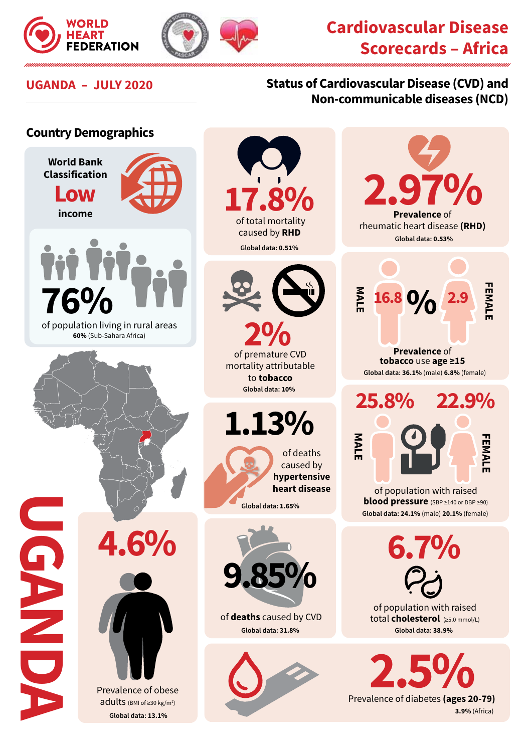



## **Cardiovascular Disease Scorecards – Africa**

## **UGANDA – JULY 2020 Status of Cardiovascular Disease (CVD) and Non-communicable diseases (NCD)**

## **Country Demographics World Bank**

**Classification Low income**



 of population living in rural areas **60%** (Sub-Sahara Africa)

 of total mortality caused by **RHD 17.8% Global data: 0.51%**



of premature CVD **2%** mortality attributable to **tobacco Global data: 10%** 

**1.13%**



**9.85%**

of **deaths** caused by CVD **Global data: 31.8%**



2.97% **Prevalence** of rheumatic heart disease **(RHD) Global data: 0.53% FEMALE MALE FEMAL 16.8 2.9 % Prevalence** of **tobacco** use **age ≥15 Global data: 36.1%** (male) **6.8%** (female)



of population with raised **blood pressure** (SBP ≥140 or DBP ≥90) **Global data: 24.1%** (male) **20.1%** (female)

**6.7%** of population with raised total **cholesterol** (≥5.0 mmol/L)

**Global data: 38.9%**

**2.5%**<br>Prevalence of diabetes (ages 20-79) **3.9%** (Africa)

**4.6%**

**UGANDA** 

OND ND